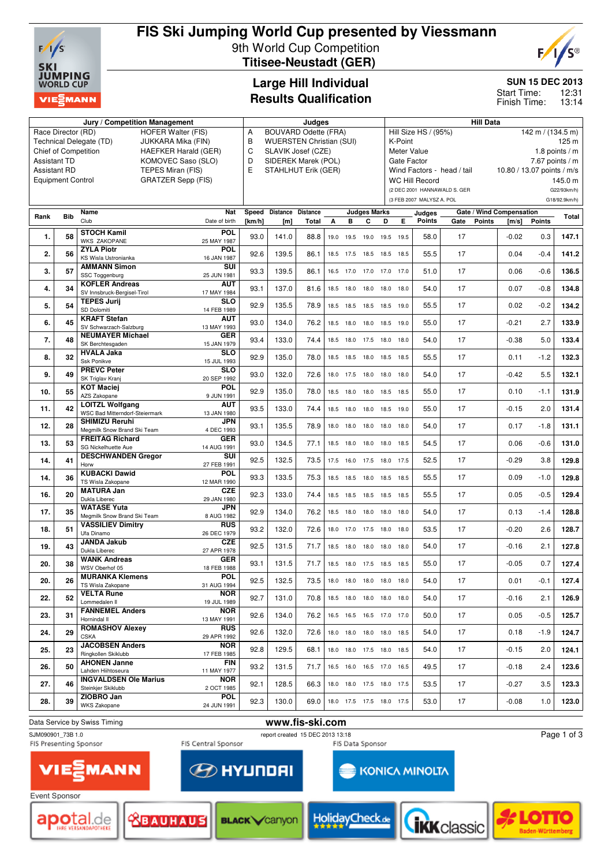

## **FIS Ski Jumping World Cup presented by Viessmann** 9th World Cup Competition **Titisee-Neustadt (GER)**



**SUN 15 DEC 2013**

12:31 13:14 Start Time: Finish Time:

## **Large Hill Individual Results Qualification**

|                     |                                                       | Jury / Competition Management                        | Judges                    |        |                                 |              |      |           |                          | <b>Hill Data</b> |             |                           |                              |                            |                                 |                   |                 |
|---------------------|-------------------------------------------------------|------------------------------------------------------|---------------------------|--------|---------------------------------|--------------|------|-----------|--------------------------|------------------|-------------|---------------------------|------------------------------|----------------------------|---------------------------------|-------------------|-----------------|
|                     | Race Director (RD)                                    | HOFER Walter (FIS)                                   |                           | A      | <b>BOUVARD Odette (FRA)</b>     |              |      |           |                          |                  |             | Hill Size HS / (95%)      |                              |                            |                                 | 142 m / (134.5 m) |                 |
|                     |                                                       | Technical Delegate (TD)<br>JUKKARA Mika (FIN)        |                           | В      | <b>WUERSTEN Christian (SUI)</b> |              |      |           |                          |                  | K-Point     |                           |                              |                            |                                 |                   | 125 m           |
|                     |                                                       | <b>Chief of Competition</b>                          | HAEFKER Harald (GER)      | C      | SLAVIK Josef (CZE)              |              |      |           |                          |                  | Meter Value |                           |                              |                            |                                 |                   | 1.8 points $/m$ |
| <b>Assistant TD</b> |                                                       |                                                      | KOMOVEC Saso (SLO)        | D      | SIDEREK Marek (POL)             |              |      |           |                          |                  | Gate Factor |                           |                              |                            |                                 |                   | 7.67 points / m |
|                     | <b>Assistant RD</b>                                   | TEPES Miran (FIS)                                    |                           | E      | STAHLHUT Erik (GER)             |              |      |           |                          |                  |             |                           | Wind Factors - head / tail   | 10.80 / 13.07 points / m/s |                                 |                   |                 |
|                     | <b>GRATZER Sepp (FIS)</b><br><b>Equipment Control</b> |                                                      |                           |        |                                 |              |      |           |                          |                  |             | <b>WC Hill Record</b>     |                              |                            |                                 |                   | 145.0 m         |
|                     |                                                       |                                                      |                           |        |                                 |              |      |           |                          |                  |             |                           | (2 DEC 2001 HANNAWALD S. GER |                            |                                 |                   | G22/93km/h)     |
|                     |                                                       |                                                      |                           |        |                                 |              |      |           |                          |                  |             | (3 FEB 2007 MALYSZ A. POL |                              |                            |                                 |                   | G18/92.9km/h)   |
|                     |                                                       | Name                                                 | <b>Nat</b>                | Speed  | Distance Distance               |              |      |           | <b>Judges Marks</b>      |                  |             | Judges                    |                              |                            | <b>Gate / Wind Compensation</b> |                   |                 |
| Rank                | <b>Bib</b>                                            | Club                                                 | Date of birth             | [km/h] | [ <sub>m</sub> ]                | <b>Total</b> | A    | в         | C                        | D                | E.          | <b>Points</b>             | Gate                         | <b>Points</b>              | [m/s]                           | <b>Points</b>     | Total           |
|                     |                                                       | <b>STOCH Kamil</b>                                   | <b>POL</b>                |        |                                 |              |      |           |                          |                  |             |                           |                              |                            |                                 |                   |                 |
| 1.                  | 58                                                    | <b>WKS ZAKOPANE</b>                                  | 25 MAY 1987               | 93.0   | 141.0                           | 88.8         | 19.0 |           | 19.5 19.0                | 19.5             | 19.5        | 58.0                      | 17                           |                            | $-0.02$                         | 0.3               | 147.1           |
| 2.                  | 56                                                    | <b>ZYLA Piotr</b>                                    | <b>POL</b>                | 92.6   | 139.5                           | 86.1         | 18.5 |           | 17.5 18.5 18.5 18.5      |                  |             | 55.5                      | 17                           |                            | 0.04                            | $-0.4$            | 141.2           |
|                     |                                                       | KS Wisla Ustronianka                                 | 16 JAN 1987               |        |                                 |              |      |           |                          |                  |             |                           |                              |                            |                                 |                   |                 |
| 3.                  | 57                                                    | <b>AMMANN Simon</b>                                  | SUI                       | 93.3   | 139.5                           | 86.1         |      |           | 16.5 17.0 17.0 17.0 17.0 |                  |             | 51.0                      | 17                           |                            | 0.06                            | $-0.6$            | 136.5           |
|                     |                                                       | SSC Toggenburg<br><b>KOFLER Andreas</b>              | 25 JUN 1981<br>AUT        |        |                                 |              |      |           |                          |                  |             |                           |                              |                            |                                 |                   |                 |
| 4.                  | 34                                                    | SV Innsbruck-Bergisel-Tirol                          | 17 MAY 1984               | 93.1   | 137.0                           | 81.6         |      |           | 18.5 18.0 18.0 18.0 18.0 |                  |             | 54.0                      | 17                           |                            | 0.07                            | $-0.8$            | 134.8           |
| 5.                  | 54                                                    | <b>TEPES Jurij</b>                                   | <b>SLO</b>                | 92.9   | 135.5                           | 78.9         | 18.5 |           | 18.5 18.5 18.5 19.0      |                  |             | 55.5                      | 17                           |                            | 0.02                            | $-0.2$            | 134.2           |
|                     |                                                       | SD Dolomiti                                          | 14 FEB 1989               |        |                                 |              |      |           |                          |                  |             |                           |                              |                            |                                 |                   |                 |
| 6.                  | 45                                                    | <b>KRAFT Stefan</b>                                  | AUT                       | 93.0   | 134.0                           | 76.2         | 18.5 | 18.0 18.0 |                          | 18.5             | 19.0        | 55.0                      | 17                           |                            | $-0.21$                         | 2.7               | 133.9           |
|                     |                                                       | SV Schwarzach-Salzburg<br><b>NEUMAYER Michael</b>    | 13 MAY 1993<br><b>GER</b> |        |                                 |              |      |           |                          |                  |             |                           |                              |                            |                                 |                   |                 |
| 7.                  | 48                                                    | SK Berchtesgaden                                     | 15 JAN 1979               | 93.4   | 133.0                           | 74.4         | 18.5 |           | 18.0 17.5 18.0           |                  | 18.0        | 54.0                      | 17                           |                            | $-0.38$                         | 5.0               | 133.4           |
|                     | 32                                                    | <b>HVALA Jaka</b>                                    | <b>SLO</b>                | 92.9   |                                 |              |      |           |                          |                  |             |                           | 17                           |                            |                                 |                   |                 |
| 8.                  |                                                       | Ssk Ponikve                                          | 15 JUL 1993               |        | 135.0                           | 78.0         |      |           | 18.5 18.5 18.0 18.5 18.5 |                  |             | 55.5                      |                              |                            | 0.11                            | $-1.2$            | 132.3           |
| 9.                  | 49                                                    | <b>PREVC Peter</b>                                   | <b>SLO</b>                | 93.0   | 132.0                           | 72.6         |      |           | 18.0 17.5 18.0 18.0 18.0 |                  |             | 54.0                      | 17                           |                            | $-0.42$                         | 5.5               | 132.1           |
|                     |                                                       | SK Triglav Kranj<br><b>KOT Maciej</b>                | 20 SEP 1992<br><b>POL</b> |        |                                 |              |      |           |                          |                  |             |                           |                              |                            |                                 |                   |                 |
| 10.                 | 55                                                    | AZS Zakopane                                         | 9 JUN 1991                | 92.9   | 135.0                           | 78.0         | 18.5 | 18.0 18.0 |                          | 18.5 18.5        |             | 55.0                      | 17                           |                            | 0.10                            | $-1.1$            | 131.9           |
| 11.                 | 42                                                    | <b>LOITZL Wolfgang</b>                               | <b>AUT</b>                | 93.5   | 133.0                           | 74.4         | 18.5 |           | 18.0 18.0 18.5 19.0      |                  |             | 55.0                      | 17                           |                            | $-0.15$                         | 2.0               | 131.4           |
|                     |                                                       | WSC Bad Mitterndorf-Steiermark                       | 13 JAN 1980               |        |                                 |              |      |           |                          |                  |             |                           |                              |                            |                                 |                   |                 |
| 12.                 | 28                                                    | <b>SHIMIZU Reruhi</b><br>Megmilk Snow Brand Ski Team | <b>JPN</b><br>4 DEC 1993  | 93.1   | 135.5                           | 78.9         | 18.0 | 18.0      | 18.0                     | 18.0             | 18.0        | 54.0                      | 17                           |                            | 0.17                            | $-1.8$            | 131.1           |
|                     |                                                       | <b>FREITAG Richard</b>                               | <b>GER</b>                |        |                                 |              |      |           |                          |                  |             |                           |                              |                            |                                 |                   |                 |
| 13.                 | 53                                                    | SG Nickelhuette Aue                                  | 14 AUG 1991               | 93.0   | 134.5                           | 77.1         |      |           | 18.5 18.0 18.0 18.0 18.5 |                  |             | 54.5                      | 17                           |                            | 0.06                            | $-0.6$            | 131.0           |
| 14.                 | 41                                                    | <b>DESCHWANDEN Gregor</b>                            | SUI                       | 92.5   | 132.5                           | 73.5         |      |           | 17.5 16.0 17.5 18.0 17.5 |                  |             | 52.5                      | 17                           |                            | $-0.29$                         | 3.8               | 129.8           |
|                     |                                                       | Horw                                                 | 27 FEB 1991               |        |                                 |              |      |           |                          |                  |             |                           |                              |                            |                                 |                   |                 |
| 14.                 | 36                                                    | <b>KUBACKI Dawid</b><br>TS Wisla Zakopane            | <b>POL</b><br>12 MAR 1990 | 93.3   | 133.5                           | 75.3         | 18.5 |           | 18.5 18.0 18.5 18.5      |                  |             | 55.5                      | 17                           |                            | 0.09                            | $-1.0$            | 129.8           |
|                     |                                                       | <b>MATURA Jan</b>                                    | <b>CZE</b>                |        |                                 |              |      |           |                          |                  |             |                           |                              |                            |                                 |                   |                 |
| 16.                 | 20                                                    | Dukla Liberec                                        | 29 JAN 1980               | 92.3   | 133.0                           | 74.4         | 18.5 |           | 18.5 18.5 18.5 18.5      |                  |             | 55.5                      | 17                           |                            | 0.05                            | $-0.5$            | 129.4           |
| 17.                 | 35                                                    | <b>WATASE Yuta</b>                                   | <b>JPN</b>                | 92.9   | 134.0                           | 76.2         |      |           | 18.5 18.0 18.0 18.0 18.0 |                  |             | 54.0                      | 17                           |                            | 0.13                            | $-1.4$            | 128.8           |
|                     |                                                       | Megmilk Snow Brand Ski Team                          | 8 AUG 1982                |        |                                 |              |      |           |                          |                  |             |                           |                              |                            |                                 |                   |                 |
| 18.                 | 51                                                    | <b>VASSILIEV Dimitry</b><br>Ufa Dinamo               | <b>RUS</b><br>26 DEC 1979 | 93.2   | 132.0                           | 72.6         |      |           | 18.0 17.0 17.5 18.0 18.0 |                  |             | 53.5                      | 17                           |                            | $-0.20$                         | 2.6               | 128.7           |
|                     |                                                       | <b>JANDA Jakub</b>                                   | <b>CZE</b>                |        |                                 |              |      |           |                          |                  |             |                           |                              |                            |                                 |                   |                 |
| 19.                 | 43                                                    | Dukla Liberec                                        | 27 APR 1978               | 92.5   | 131.5                           | 71.7         | 18.5 |           | 18.0 18.0 18.0 18.0      |                  |             | 54.0                      | 17                           |                            | $-0.16$                         | 2.1               | 127.8           |
| 20.                 | 38                                                    | <b>WANK Andreas</b>                                  | <b>GER</b>                | 93.1   | 131.5                           | 71.7         |      |           | 18.5 18.0 17.5 18.5 18.5 |                  |             | 55.0                      | 17                           |                            | $-0.05$                         | 0.7               | 127.4           |
|                     |                                                       | WSV Oberhof 05                                       | 18 FEB 1988               |        |                                 |              |      |           |                          |                  |             |                           |                              |                            |                                 |                   |                 |
| 20.                 | 26                                                    | <b>MURANKA Klemens</b><br>TS Wisla Zakopane          | <b>POL</b><br>31 AUG 1994 | 92.5   | 132.5                           | 73.5         |      |           | 18.0 18.0 18.0 18.0 18.0 |                  |             | 54.0                      | 17                           |                            | 0.01                            | $-0.1$            | 127.4           |
|                     |                                                       | <b>VELTA Rune</b>                                    | <b>NOR</b>                |        |                                 |              |      |           |                          |                  |             |                           |                              |                            |                                 |                   |                 |
| 22.                 | 52                                                    | Lommedalen II                                        | 19 JUL 1989               | 92.7   | 131.0                           | 70.8         |      |           | 18.5 18.0 18.0 18.0 18.0 |                  |             | 54.0                      | 17                           |                            | $-0.16$                         | 2.1               | 126.9           |
| 23.                 | 31                                                    | <b>FANNEMEL Anders</b>                               | <b>NOR</b>                | 92.6   | 134.0                           | 76.2         |      |           | 16.5 16.5 16.5 17.0 17.0 |                  |             | 50.0                      | 17                           |                            | 0.05                            | $-0.5$            | 125.7           |
|                     |                                                       | Hornindal II                                         | 13 MAY 1991               |        |                                 |              |      |           |                          |                  |             |                           |                              |                            |                                 |                   |                 |
| 24.                 | 29                                                    | <b>ROMASHOV Alexey</b><br><b>CSKA</b>                | <b>RUS</b><br>29 APR 1992 | 92.6   | 132.0                           | 72.6         |      |           | 18.0 18.0 18.0 18.0 18.5 |                  |             | 54.0                      | 17                           |                            | 0.18                            | $-1.9$            | 124.7           |
|                     |                                                       | <b>JACOBSEN Anders</b>                               | <b>NOR</b>                |        |                                 |              |      |           |                          |                  |             |                           |                              |                            |                                 |                   |                 |
| 25.                 | 23                                                    | Ringkollen Skiklubb                                  | 17 FEB 1985               | 92.8   | 129.5                           | 68.1         | 18.0 |           | 18.0 17.5 18.0 18.5      |                  |             | 54.0                      | 17                           |                            | $-0.15$                         | 2.0               | 124.1           |
| 26.                 | 50                                                    | <b>AHONEN Janne</b>                                  | <b>FIN</b>                | 93.2   | 131.5                           | 71.7         | 16.5 |           | 16.0 16.5 17.0 16.5      |                  |             | 49.5                      | 17                           |                            | $-0.18$                         | 2.4               | 123.6           |
|                     |                                                       | Lahden Hiihtoseura                                   | 11 MAY 1977               |        |                                 |              |      |           |                          |                  |             |                           |                              |                            |                                 |                   |                 |
| 27.                 | 46                                                    | <b>INGVALDSEN Ole Marius</b><br>Steinkjer Skiklubb   | <b>NOR</b><br>2 OCT 1985  | 92.1   | 128.5                           | 66.3         |      |           | 18.0 18.0 17.5 18.0 17.5 |                  |             | 53.5                      | 17                           |                            | $-0.27$                         | 3.5               | 123.3           |
|                     |                                                       | ZIOBRO Jan                                           | <b>POL</b>                |        |                                 |              |      |           |                          |                  |             |                           |                              |                            |                                 |                   |                 |
| 28.                 | 39                                                    | <b>WKS Zakopane</b>                                  | 24 JUN 1991               | 92.3   | 130.0                           | 69.0         |      |           | 18.0 17.5 17.5 18.0 17.5 |                  |             | 53.0                      | 17                           |                            | $-0.08$                         | 1.0               | 123.0           |
|                     |                                                       |                                                      |                           |        |                                 |              |      |           |                          |                  |             |                           |                              |                            |                                 |                   |                 |
|                     |                                                       | Data Service by Swiss Timing                         |                           |        | www.fis-ski.com                 |              |      |           |                          |                  |             |                           |                              |                            |                                 |                   |                 |

**VIE** 

SJM090901\_73B 1.0 report created 15 DEC 2013 13:18



Page 1 of 3





**MANN** 

**<u> <b><u> </u>**BAUHAUS</u>



**EXPLAY UP OF STREET** 

**Holiday**Check<sub>de</sub>



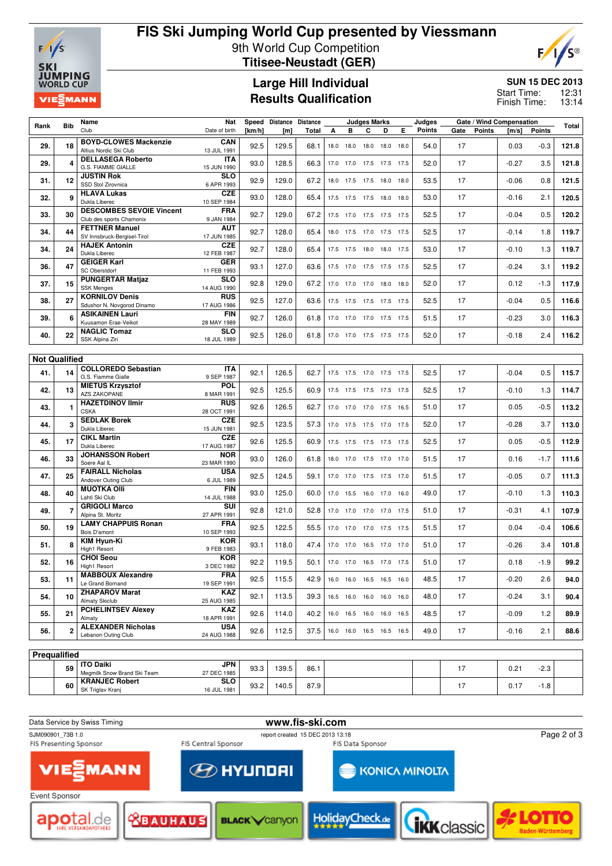

**<sup>60</sup> KRANJEC Robert** SK Triglav Kranj

# **FIS Ski Jumping World Cup presented by Viessmann** 9th World Cup Competition **Titisee-Neustadt (GER)**



### **Large Hill Individual Results Qualification**

#### **SUN 15 DEC 2013**

12:31 13:14 Start Time: Finish Time:

|      |                      | Name                                                   | Nat                       | Speed      | Distance Distance |       | <b>Judges Marks</b> |                |                          |      |      | Judges |      |               | Gate / Wind Compensation |        |       |
|------|----------------------|--------------------------------------------------------|---------------------------|------------|-------------------|-------|---------------------|----------------|--------------------------|------|------|--------|------|---------------|--------------------------|--------|-------|
| Rank | <b>Bib</b>           | Club                                                   | Date of birth             | [ $km/h$ ] | [m]               | Total | A                   | в              | C                        | D    | Е    | Points | Gate | <b>Points</b> | [m/s]                    | Points | Total |
| 29.  | 18                   | <b>BOYD-CLOWES Mackenzie</b><br>Altius Nordic Ski Club | CAN<br>13 JUL 1991        | 92.5       | 129.5             | 68.1  |                     |                | 18.0 18.0 18.0 18.0      |      | 18.0 | 54.0   | 17   |               | 0.03                     | $-0.3$ | 121.8 |
| 29.  |                      | <b>DELLASEGA Roberto</b><br>G.S. FIAMME GIALLE         | IΤA<br>15 JUN 1990        | 93.0       | 128.5             | 66.3  |                     |                | 17.0 17.0 17.5 17.5 17.5 |      |      | 52.0   | 17   |               | $-0.27$                  | 3.5    | 121.8 |
| 31.  | 12                   | <b>JUSTIN Rok</b>                                      | <b>SLO</b>                | 92.9       | 129.0             | 67.2  | 18.0                |                | 17.5 17.5 18.0           |      | 18.0 | 53.5   | 17   |               | $-0.06$                  | 0.8    | 121.5 |
| 32.  | q                    | SSD Stol Zirovnica<br><b>HLAVA Lukas</b>               | 6 APR 1993<br><b>CZE</b>  | 93.0       | 128.0             | 65.4  | 17.5                | 17.5 17.5      |                          | 18.0 | 18.0 | 53.0   | 17   |               | $-0.16$                  | 2.1    | 120.5 |
|      |                      | Dukla Liberec<br><b>DESCOMBES SEVOIE Vincent</b>       | 10 SEP 1984<br><b>FRA</b> |            |                   |       |                     |                |                          |      |      |        |      |               |                          |        |       |
| 33.  | 30                   | Club des sports Chamonix<br><b>FETTNER Manuel</b>      | 9 JAN 1984<br>AUT         | 92.7       | 129.0             | 67.2  |                     |                | 17.5 17.0 17.5 17.5      |      | 17.5 | 52.5   | 17   |               | $-0.04$                  | 0.5    | 120.2 |
| 34.  | 44                   | SV Innsbruck-Bergisel-Tirol                            | 17 JUN 1985               | 92.7       | 128.0             | 65.4  |                     |                | 18.0 17.5 17.0 17.5 17.5 |      |      | 52.5   | 17   |               | $-0.14$                  | 1.8    | 119.7 |
| 34.  | 24                   | <b>HAJEK Antonin</b><br>Dukla Liberec                  | <b>CZE</b><br>12 FEB 1987 | 92.7       | 128.0             | 65.4  |                     |                | 17.5 17.5 18.0 18.0 17.5 |      |      | 53.0   | 17   |               | $-0.10$                  | 1.3    | 119.7 |
| 36.  | 47                   | <b>GEIGER Karl</b><br><b>SC Oberstdorf</b>             | <b>GER</b><br>11 FEB 1993 | 93.1       | 127.0             | 63.6  |                     |                | 17.5 17.0 17.5 17.5 17.5 |      |      | 52.5   | 17   |               | $-0.24$                  | 3.1    | 119.2 |
| 37.  | 15                   | <b>PUNGERTAR Matjaz</b><br><b>SSK Menges</b>           | <b>SLO</b><br>14 AUG 1990 | 92.8       | 129.0             | 67.2  |                     | 17.0 17.0 17.0 |                          | 18.0 | 18.0 | 52.0   | 17   |               | 0.12                     | $-1.3$ | 117.9 |
| 38.  | 27                   | <b>KORNILOV Denis</b><br>Sdushor N. Novgorod Dinamo    | <b>RUS</b><br>17 AUG 1986 | 92.5       | 127.0             | 63.6  |                     |                | 17.5 17.5 17.5 17.5 17.5 |      |      | 52.5   | 17   |               | $-0.04$                  | 0.5    | 116.6 |
| 39.  |                      | <b>ASIKAINEN Lauri</b>                                 | <b>FIN</b>                | 92.7       | 126.0             | 61.8  |                     |                | 17.0 17.0 17.0 17.5 17.5 |      |      | 51.5   | 17   |               | $-0.23$                  | 3.0    | 116.3 |
| 40.  | 22                   | Kuusamon Erae-Veikot<br><b>NAGLIC Tomaz</b>            | 28 MAY 1989<br><b>SLO</b> | 92.5       | 126.0             | 61.8  |                     |                | 17.0 17.0 17.5 17.5 17.5 |      |      | 52.0   | 17   |               | $-0.18$                  | 2.4    | 116.2 |
|      |                      | SSK Alpina Ziri                                        | 18 JUL 1989               |            |                   |       |                     |                |                          |      |      |        |      |               |                          |        |       |
|      | <b>Not Qualified</b> |                                                        |                           |            |                   |       |                     |                |                          |      |      |        |      |               |                          |        |       |
| 41.  | 14                   | <b>COLLOREDO Sebastian</b><br>G.S. Fiamme Gialle       | <b>ITA</b><br>9 SEP 1987  | 92.1       | 126.5             | 62.7  |                     |                | 17.5 17.5 17.0 17.5 17.5 |      |      | 52.5   | 17   |               | $-0.04$                  | 0.5    | 115.7 |
| 42.  | 13                   | <b>MIETUS Krzysztof</b><br><b>AZS ZAKOPANE</b>         | POL<br>8 MAR 1991         | 92.5       | 125.5             | 60.9  |                     |                | 17.5 17.5 17.5 17.5 17.5 |      |      | 52.5   | 17   |               | $-0.10$                  | 1.3    | 114.7 |
| 43.  |                      | <b>HAZETDINOV Ilmir</b><br><b>CSKA</b>                 | <b>RUS</b><br>28 OCT 1991 | 92.6       | 126.5             | 62.7  |                     |                | 17.0 17.0 17.0 17.5 16.5 |      |      | 51.0   | 17   |               | 0.05                     | $-0.5$ | 113.2 |
| 44.  | 3                    | <b>SEDLAK Borek</b><br>Dukla Liberec                   | <b>CZE</b><br>15 JUN 1981 | 92.5       | 123.5             | 57.3  |                     |                | 17.0 17.5 17.5 17.0      |      | 17.5 | 52.0   | 17   |               | $-0.28$                  | 3.7    | 113.0 |
| 45.  | 17                   | <b>CIKL Martin</b><br>Dukla Liberec                    | <b>CZE</b>                | 92.6       | 125.5             | 60.9  |                     |                | 17.5 17.5 17.5 17.5 17.5 |      |      | 52.5   | 17   |               | 0.05                     | $-0.5$ | 112.9 |
| 46.  | 33                   | <b>JOHANSSON Robert</b>                                | 17 AUG 1987<br><b>NOR</b> | 93.0       | 126.0             | 61.8  |                     |                | 18.0 17.0 17.5 17.0 17.0 |      |      | 51.5   | 17   |               | 0.16                     | $-1.7$ | 111.6 |
| 47.  | 25                   | Soere Aal IL<br><b>FAIRALL Nicholas</b>                | 23 MAR 1990<br>USA        | 92.5       | 124.5             | 59.1  |                     |                | 17.0 17.0 17.5 17.5 17.0 |      |      | 51.5   | 17   |               | $-0.05$                  | 0.7    | 111.3 |
|      |                      | Andover Outing Club<br><b>MUOTKA OIII</b>              | 6 JUL 1989<br><b>FIN</b>  |            |                   |       |                     |                |                          |      |      |        |      |               |                          |        |       |
| 48.  | 40                   | Lahti Ski Club                                         | 14 JUL 1988               | 93.0       | 125.0             | 60.0  | 17.0                | 15.5 16.0      |                          | 17.0 | 16.0 | 49.0   | 17   |               | $-0.10$                  | 1.3    | 110.3 |
| 49.  | 7                    | <b>GRIGOLI Marco</b><br>Alpina St. Moritz              | <b>SUI</b><br>27 APR 1991 | 92.8       | 121.0             | 52.8  |                     |                | 17.0 17.0 17.0 17.0 17.5 |      |      | 51.0   | 17   |               | $-0.31$                  | 4.1    | 107.9 |
| 50.  | 19                   | <b>LAMY CHAPPUIS Ronan</b><br>Bois D'amont             | FRA<br>10 SEP 1993        | 92.5       | 122.5             | 55.5  |                     |                | 17.0 17.0 17.0 17.5 17.5 |      |      | 51.5   | 17   |               | 0.04                     | $-0.4$ | 106.6 |
| 51.  |                      | KIM Hyun-Ki<br>High1 Resort                            | <b>KOR</b><br>9 FEB 1983  | 93.1       | 118.0             | 47.4  | 17.0                |                | 17.0 16.5 17.0 17.0      |      |      | 51.0   | 17   |               | $-0.26$                  | 3.4    | 101.8 |
| 52.  | 16                   | <b>CHOI Seou</b><br>High1 Resort                       | KOR<br>3 DEC 1982         | 92.2       | 119.5             | 50.1  |                     |                | 17.0 17.0 16.5 17.0 17.5 |      |      | 51.0   | 17   |               | 0.18                     | $-1.9$ | 99.2  |
| 53.  | 11                   | <b>MABBOUX Alexandre</b><br>Le Grand Bornand           | <b>FRA</b>                | 92.5       | 115.5             | 42.9  |                     |                | 16.0 16.0 16.5 16.5 16.0 |      |      | 48.5   | 17   |               | $-0.20$                  | 2.6    | 94.0  |
| 54.  | 10                   | <b>ZHAPAROV Marat</b>                                  | 19 SEP 1991<br><b>KAZ</b> | 92.1       | 113.5             | 39.3  |                     |                | 16.5 16.0 16.0 16.0 16.0 |      |      | 48.0   | 17   |               | $-0.24$                  | 3.1    | 90.4  |
| 55.  | 21                   | Almaty Skiclub<br><b>PCHELINTSEV Alexey</b>            | 25 AUG 1985<br>KAZ        | 92.6       | 114.0             | 40.2  |                     |                | 16.0 16.5 16.0 16.0 16.5 |      |      | 48.5   | 17   |               | $-0.09$                  | 1.2    | 89.9  |
| 56.  | $\overline{2}$       | Almaty<br><b>ALEXANDER Nicholas</b>                    | 18 APR 1991<br><b>USA</b> | 92.6       | 112.5             | 37.5  |                     |                | 16.0 16.0 16.5 16.5 16.5 |      |      | 49.0   | 17   |               | $-0.16$                  | 2.1    | 88.6  |
|      |                      | Lebanon Outing Club                                    | 24 AUG 1988               |            |                   |       |                     |                |                          |      |      |        |      |               |                          |        |       |
|      | Prequalified         |                                                        |                           |            |                   |       |                     |                |                          |      |      |        |      |               |                          |        |       |
|      |                      | <b>ITO Daiki</b>                                       | <b>JPN</b>                |            |                   |       |                     |                |                          |      |      |        |      |               |                          |        |       |
|      | 59                   | Megmilk Snow Brand Ski Team                            | 27 DEC 1985               | 93.3       | 139.5             | 86.1  |                     |                |                          |      |      |        | 17   |               | 0.21                     | $-2.3$ |       |

Data Service by Swiss Timing<br> **WWW.fis-ski.com**<br>
WWW.fis-ski.com<br>
www.fis-ski.com<br>
www.fis-ski.com SJM090901\_73B 1.0 report created 15 DEC 2013 13:18 Page 2 of 3FIS Central Sponsor FIS Data Sponsor MANN **VIE EXPLAY UP OF STREET** KONICA MINOLTA Event Sponsor HolidayCheck. **<u> <u> </u> SEAUHAUS**</u> apotal.de *ikk*classic **BLACK Canyon** 

16 JUL 1981 93.2 140.5 87.9 10 17 17 0.17 -1.8

**SLO**<br>16 JUL 1981